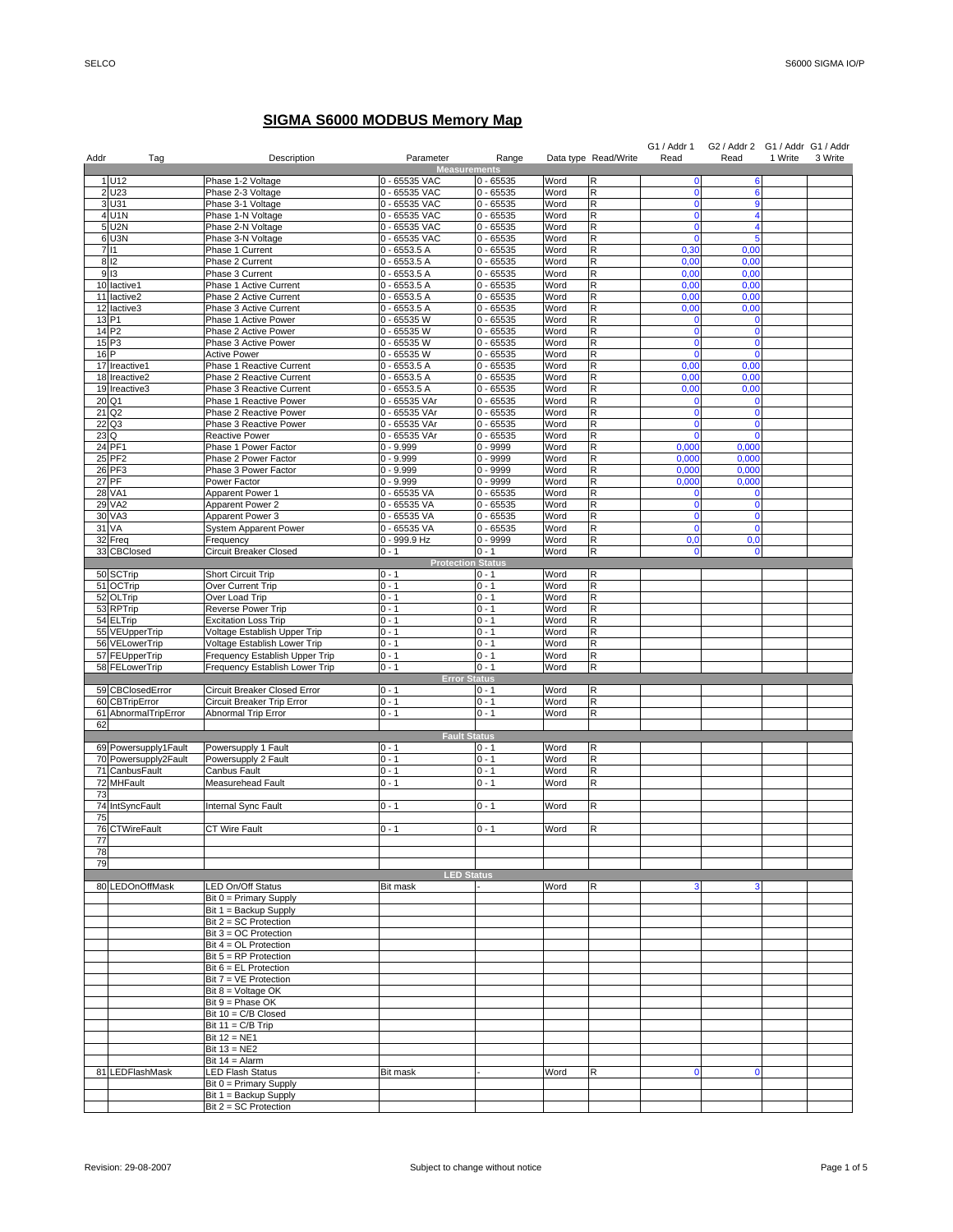## **SIGMA S6000 MODBUS Memory Map**

| Addr            | Tag                                | Description                                                | Parameter                       | Range                      |              | Data type Read/Write | G1 / Addr 1<br>Read | G2 / Addr 2<br>Read | G1 / Addr G1 / Addr<br>1 Write | 3 Write |
|-----------------|------------------------------------|------------------------------------------------------------|---------------------------------|----------------------------|--------------|----------------------|---------------------|---------------------|--------------------------------|---------|
|                 |                                    |                                                            | <b>Measurements</b>             |                            |              |                      |                     |                     |                                |         |
|                 | 1 U12                              | Phase 1-2 Voltage                                          | 0 - 65535 VAC                   | $0 - 65535$                | Word         | R                    | $\mathbf 0$         | 6                   |                                |         |
|                 | 2 U23                              | Phase 2-3 Voltage                                          | 0 - 65535 VAC                   | $0 - 65535$                | Word         | R                    | $\mathbf 0$         | 6                   |                                |         |
|                 | 3 U31<br>4 U1N                     | Phase 3-1 Voltage<br>Phase 1-N Voltage                     | 0 - 65535 VAC<br>0 - 65535 VAC  | $0 - 65535$<br>$0 - 65535$ | Word<br>Word | R<br>R               | $\mathbf 0$<br>0    | 9<br>4              |                                |         |
|                 | 5 U2N                              | Phase 2-N Voltage                                          | 0 - 65535 VAC                   | $0 - 65535$                | Word         | R                    | 0                   | 4                   |                                |         |
|                 | 6 U3N                              | Phase 3-N Voltage                                          | 0 - 65535 VAC                   | $0 - 65535$                | Word         | R                    | $\mathbf{0}$        | 5                   |                                |         |
|                 | 7 11                               | Phase 1 Current                                            | $0 - 6553.5 A$                  | $\overline{0}$ - 65535     | Word         | R                    | 0,30                | 0,00                |                                |         |
|                 | 812                                | Phase 2 Current                                            | $0 - 6553.5A$                   | $0 - 65535$                | Word         | R                    | 0,00                | 0,00                |                                |         |
|                 | 9 13                               | Phase 3 Current                                            | $0 - 6553.5A$                   | $0 - 65535$                | Word         | R<br>R               | 0,00                | 0,00                |                                |         |
|                 | 10 lactive1<br>11 lactive2         | Phase 1 Active Current<br>Phase 2 Active Current           | $0 - 6553.5 A$<br>$0 - 6553.5A$ | $0 - 65535$<br>$0 - 65535$ | Word<br>Word | R                    | 0,00<br>0,00        | 0,00<br>0,00        |                                |         |
|                 | 12 lactive3                        | Phase 3 Active Current                                     | $0 - 6553.5 A$                  | $0 - 65535$                | Word         | R                    | 0,00                | 0,00                |                                |         |
|                 | 13 P1                              | Phase 1 Active Power                                       | 0 - 65535 W                     | $0 - 65535$                | Word         | R                    | $\mathbf 0$         | $\mathbf 0$         |                                |         |
|                 | 14 P <sub>2</sub>                  | Phase 2 Active Power                                       | 0 - 65535 W                     | $0 - 65535$                | Word         | R                    | $\mathbf 0$         | $\mathbf 0$         |                                |         |
|                 | 15P3                               | Phase 3 Active Power                                       | 0 - 65535 W                     | $0 - 65535$                | Word         | R                    | $\mathbf 0$         | $\mathbf 0$         |                                |         |
| 16 <sub>P</sub> | 17 Ireactive1                      | <b>Active Power</b><br><b>Phase 1 Reactive Current</b>     | 0 - 65535 W<br>$0 - 6553.5A$    | $0 - 65535$<br>$0 - 65535$ | Word<br>Word | R<br>R               | $\mathbf 0$<br>0,00 | $\mathbf 0$<br>0,00 |                                |         |
|                 | 18 Ireactive2                      | Phase 2 Reactive Current                                   | $0 - 6553.5A$                   | $0 - 65535$                | Word         | R                    | 0,00                | 0,00                |                                |         |
|                 | 19 Ireactive3                      | Phase 3 Reactive Current                                   | $0 - 6553.5 A$                  | $0 - 65535$                | Word         | R                    | 0,00                | 0,00                |                                |         |
|                 | 20 Q1                              | Phase 1 Reactive Power                                     | 0 - 65535 VAr                   | $0 - 65535$                | Word         | R                    | $\mathbf 0$         | 0                   |                                |         |
|                 | 21 Q <sub>2</sub>                  | Phase 2 Reactive Power                                     | 0 - 65535 VAr                   | $0 - 65535$                | Word         | R                    | $\mathbf 0$         | $\mathbf 0$         |                                |         |
|                 | 22 Q3                              | Phase 3 Reactive Power                                     | 0 - 65535 VAr                   | $0 - 65535$                | Word         | R                    | $\mathbf 0$         | $\mathbf 0$         |                                |         |
| 23 Q            | 24 PF1                             | Reactive Power                                             | 0 - 65535 VAr<br>$0 - 9.999$    | $0 - 65535$<br>$0 - 9999$  | Word<br>Word | R<br>R               | $\Omega$<br>0,000   | $\Omega$<br>0,000   |                                |         |
|                 | 25 PF2                             | Phase 1 Power Factor<br>Phase 2 Power Factor               | $0 - 9.999$                     | $0 - 9999$                 | Word         | R                    | 0,000               | 0,000               |                                |         |
|                 | 26 PF3                             | Phase 3 Power Factor                                       | $0 - 9.999$                     | $0 - 9999$                 | Word         | R                    | 0,000               | 0,000               |                                |         |
|                 | 27 PF                              | Power Factor                                               | $0 - 9.999$                     | $0 - 9999$                 | Word         | R                    | 0,000               | 0,000               |                                |         |
|                 | 28 VA1                             | Apparent Power 1                                           | 0 - 65535 VA                    | $0 - 65535$                | Word         | R                    | $\Omega$            | 0                   |                                |         |
|                 | 29 VA2                             | Apparent Power 2                                           | 0 - 65535 VA                    | $0 - 65535$                | Word         | R                    | $\mathbf{0}$        | $\bf{0}$            |                                |         |
|                 | 30 VA3                             | Apparent Power 3                                           | 0 - 65535 VA                    | $0 - 65535$                | Word         | R                    | 0                   | $\bf{0}$            |                                |         |
|                 | 31 VA                              | System Apparent Power                                      | 0 - 65535 VA<br>0 - 999.9 Hz    | $0 - 65535$<br>$0 - 9999$  | Word<br>Word | R<br>R               | $\mathbf{0}$<br>0.0 | $\mathbf{0}$<br>0,0 |                                |         |
|                 | 32 Freq<br>33 CBClosed             | Frequency<br>Circuit Breaker Closed                        | $0 - 1$                         | $0 - 1$                    | Word         | $\mathsf R$          | $\mathbf 0$         | $\bf{0}$            |                                |         |
|                 |                                    |                                                            | <b>Protection Status</b>        |                            |              |                      |                     |                     |                                |         |
|                 | 50 SCTrip                          | Short Circuit Trip                                         | $0 - 1$                         | $0 - 1$                    | Word         | R                    |                     |                     |                                |         |
|                 | 51 OCTrip                          | Over Current Trip                                          | $0 - 1$                         | $0 - 1$                    | Word         | R                    |                     |                     |                                |         |
|                 | 52 OLTrip                          | Over Load Trip                                             | $0 - 1$                         | $0 - 1$                    | Word         | R                    |                     |                     |                                |         |
|                 | 53 RPTrip<br>54 ELTrip             | Reverse Power Trip<br><b>Excitation Loss Trip</b>          | $0 - 1$<br>$0 - 1$              | $0 - 1$<br>$0 - 1$         | Word<br>Word | R<br>R               |                     |                     |                                |         |
|                 | 55 VEUpperTrip                     | Voltage Establish Upper Trip                               | $0 - 1$                         | $0 - 1$                    | Word         | R                    |                     |                     |                                |         |
|                 | 56 VELowerTrip                     | Voltage Establish Lower Trip                               | $0 - 1$                         | $0 - 1$                    | Word         | R                    |                     |                     |                                |         |
|                 | 57 FEUpperTrip                     | Frequency Establish Upper Trip                             | $0 - 1$                         | $0 - 1$                    | Word         | R                    |                     |                     |                                |         |
|                 | 58 FELowerTrip                     | Frequency Establish Lower Trip                             | $0 - 1$                         | $0 - 1$                    | Word         | R                    |                     |                     |                                |         |
|                 |                                    |                                                            | <b>Error Status</b>             |                            |              |                      |                     |                     |                                |         |
|                 | 59 CBClosedError<br>60 CBTripError | Circuit Breaker Closed Error<br>Circuit Breaker Trip Error | $0 - 1$<br>$0 - 1$              | $0 - 1$<br>$0 - 1$         | Word<br>Word | R<br>R               |                     |                     |                                |         |
|                 | 61 AbnormalTripError               | Abnormal Trip Error                                        | $0 - 1$                         | $0 - 1$                    | Word         | R                    |                     |                     |                                |         |
| 62              |                                    |                                                            |                                 |                            |              |                      |                     |                     |                                |         |
|                 |                                    |                                                            | <b>Fault Status</b>             |                            |              |                      |                     |                     |                                |         |
|                 | 69 Powersupply1Fault               | Powersupply 1 Fault                                        | $0 - 1$                         | $0 - 1$                    | Word         | R                    |                     |                     |                                |         |
|                 | 70 Powersupply2Fault               | Powersupply 2 Fault                                        | $0 - 1$                         | $0 - 1$                    | Word         | R                    |                     |                     |                                |         |
|                 | 71 CanbusFault<br>72 MHFault       | Canbus Fault<br>Measurehead Fault                          | $0 - 1$<br>$0 - 1$              | $0 - 1$<br>$0 - 1$         | Word<br>Word | R<br>R               |                     |                     |                                |         |
| 73              |                                    |                                                            |                                 |                            |              |                      |                     |                     |                                |         |
|                 | 74 IntSyncFault                    | Internal Sync Fault                                        | $0 - 1$                         | $0 - 1$                    | Word         | R                    |                     |                     |                                |         |
| 75              |                                    |                                                            |                                 |                            |              |                      |                     |                     |                                |         |
|                 | 76 CTWireFault                     | CT Wire Fault                                              | $0 - 1$                         | $0 - 1$                    | Word         | R                    |                     |                     |                                |         |
| 78              |                                    |                                                            |                                 |                            |              |                      |                     |                     |                                |         |
| 79              |                                    |                                                            |                                 |                            |              |                      |                     |                     |                                |         |
|                 |                                    |                                                            | <b>LED Status</b>               |                            |              |                      |                     |                     |                                |         |
|                 | 80 LEDOnOffMask                    | LED On/Off Status                                          | <b>Bit mask</b>                 |                            | Word         | R                    | 3                   | 3                   |                                |         |
|                 |                                    | Bit 0 = Primary Supply                                     |                                 |                            |              |                      |                     |                     |                                |         |
|                 |                                    | Bit 1 = Backup Supply                                      |                                 |                            |              |                      |                     |                     |                                |         |
|                 |                                    | $Bit 2 = SC Protection$<br>Bit 3 = OC Protection           |                                 |                            |              |                      |                     |                     |                                |         |
|                 |                                    | Bit $4 = OL$ Protection                                    |                                 |                            |              |                      |                     |                     |                                |         |
|                 |                                    | Bit $5 = RP$ Protection                                    |                                 |                            |              |                      |                     |                     |                                |         |
|                 |                                    | $Bit 6 = EL$ Protection                                    |                                 |                            |              |                      |                     |                     |                                |         |
|                 |                                    | Bit 7 = VE Protection                                      |                                 |                            |              |                      |                     |                     |                                |         |
|                 |                                    | Bit $8 =$ Voltage OK                                       |                                 |                            |              |                      |                     |                     |                                |         |
|                 |                                    | Bit $9$ = Phase OK                                         |                                 |                            |              |                      |                     |                     |                                |         |
|                 |                                    | Bit 10 = C/B Closed<br>Bit $11 = C/B$ Trip                 |                                 |                            |              |                      |                     |                     |                                |         |
|                 |                                    | Bit $12 = NE1$                                             |                                 |                            |              |                      |                     |                     |                                |         |
|                 |                                    | Bit $13 = NE2$                                             |                                 |                            |              |                      |                     |                     |                                |         |
|                 |                                    | Bit $14 =$ Alarm                                           |                                 |                            |              |                      |                     |                     |                                |         |
|                 | 81 LEDFlashMask                    | <b>LED Flash Status</b>                                    | Bit mask                        |                            | Word         | R                    | $\mathbf 0$         | $\mathbf 0$         |                                |         |
|                 |                                    | Bit 0 = Primary Supply                                     |                                 |                            |              |                      |                     |                     |                                |         |
|                 |                                    | Bit 1 = Backup Supply<br>Bit 2 = SC Protection             |                                 |                            |              |                      |                     |                     |                                |         |
|                 |                                    |                                                            |                                 |                            |              |                      |                     |                     |                                |         |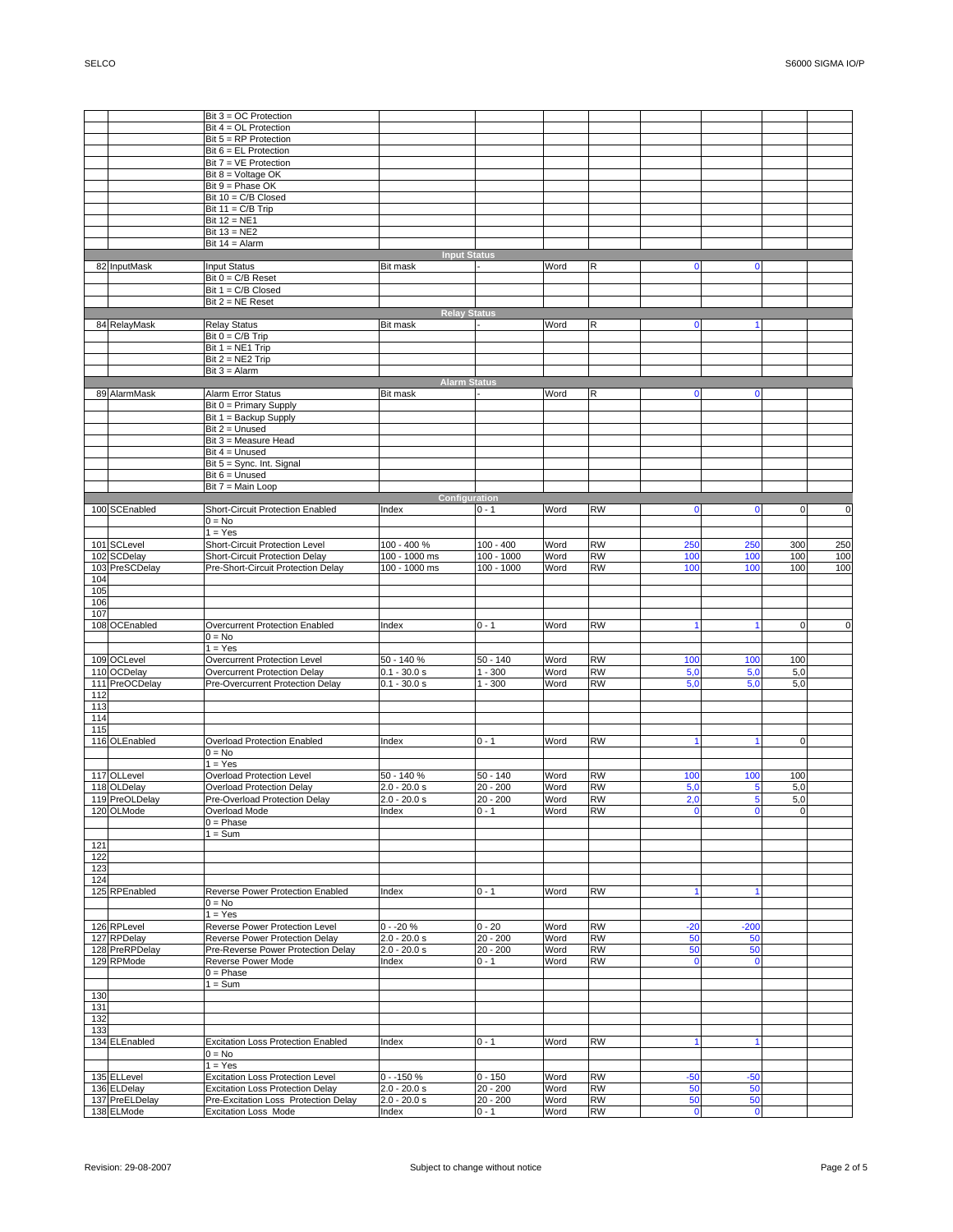٦

|     |                              | $Bit 3 = OC$ Protection                                             |                         |                       |              |                        |                |                |             |             |
|-----|------------------------------|---------------------------------------------------------------------|-------------------------|-----------------------|--------------|------------------------|----------------|----------------|-------------|-------------|
|     |                              | Bit $4 = OL$ Protection                                             |                         |                       |              |                        |                |                |             |             |
|     |                              | Bit $5 = RP$ Protection                                             |                         |                       |              |                        |                |                |             |             |
|     |                              | Bit $6 = EL$ Protection                                             |                         |                       |              |                        |                |                |             |             |
|     |                              | Bit $7 = VE$ Protection                                             |                         |                       |              |                        |                |                |             |             |
|     |                              | Bit $8 =$ Voltage OK                                                |                         |                       |              |                        |                |                |             |             |
|     |                              | Bit $9$ = Phase OK                                                  |                         |                       |              |                        |                |                |             |             |
|     |                              | Bit 10 = C/B Closed                                                 |                         |                       |              |                        |                |                |             |             |
|     |                              | Bit $11 = C/B$ Trip                                                 |                         |                       |              |                        |                |                |             |             |
|     |                              | Bit 12 = NE1                                                        |                         |                       |              |                        |                |                |             |             |
|     |                              |                                                                     |                         |                       |              |                        |                |                |             |             |
|     |                              | Bit $13 = NE2$                                                      |                         |                       |              |                        |                |                |             |             |
|     |                              | Bit $14 =$ Alarm                                                    |                         |                       |              |                        |                |                |             |             |
|     |                              |                                                                     | <b>Input Status</b>     |                       |              |                        |                |                |             |             |
|     | 82 InputMask                 | <b>Input Status</b>                                                 | Bit mask                |                       | Word         | $\mathsf R$            | $\mathbf 0$    | $\mathbf 0$    |             |             |
|     |                              | Bit $0 = C/B$ Reset                                                 |                         |                       |              |                        |                |                |             |             |
|     |                              | Bit 1 = C/B Closed                                                  |                         |                       |              |                        |                |                |             |             |
|     |                              | $Bit 2 = NE$ Reset                                                  |                         |                       |              |                        |                |                |             |             |
|     |                              |                                                                     | <b>Relay Status</b>     |                       |              |                        |                |                |             |             |
|     | 84 RelayMask                 | <b>Relay Status</b>                                                 | Bit mask                |                       | Word         | R                      | $\mathbf 0$    | $\mathbf{1}$   |             |             |
|     |                              | Bit $0 = C/B$ Trip                                                  |                         |                       |              |                        |                |                |             |             |
|     |                              | Bit 1 = NE1 Trip                                                    |                         |                       |              |                        |                |                |             |             |
|     |                              | Bit $2 = NE2$ Trip                                                  |                         |                       |              |                        |                |                |             |             |
|     |                              | $Bit 3 = Alarm$                                                     |                         |                       |              |                        |                |                |             |             |
|     |                              |                                                                     |                         |                       |              |                        |                |                |             |             |
|     |                              |                                                                     | <b>Alarm Status</b>     |                       |              |                        |                |                |             |             |
|     | 89 AlarmMask                 | Alarm Error Status                                                  | Bit mask                |                       | Word         | $\mathsf R$            | 0              | $\mathbf 0$    |             |             |
|     |                              | Bit 0 = Primary Supply                                              |                         |                       |              |                        |                |                |             |             |
|     |                              | Bit 1 = Backup Supply                                               |                         |                       |              |                        |                |                |             |             |
|     |                              | Bit 2 = Unused                                                      |                         |                       |              |                        |                |                |             |             |
|     |                              | Bit 3 = Measure Head                                                |                         |                       |              |                        |                |                |             |             |
|     |                              | Bit 4 = Unused                                                      |                         |                       |              |                        |                |                |             |             |
|     |                              | Bit 5 = Sync. Int. Signal                                           |                         |                       |              |                        |                |                |             |             |
|     |                              | Bit $6 =$ Unused                                                    |                         |                       |              |                        |                |                |             |             |
|     |                              | Bit 7 = Main Loop                                                   |                         |                       |              |                        |                |                |             |             |
|     |                              |                                                                     | Configuration           |                       |              |                        |                |                |             |             |
|     |                              |                                                                     |                         |                       |              |                        |                |                |             |             |
|     | 100 SCEnabled                | Short-Circuit Protection Enabled                                    | Index                   | $0 - 1$               | Word         | <b>RW</b>              | 0              | $\mathbf 0$    | $\mathbf 0$ | $\mathbf 0$ |
|     |                              | $0 = No$                                                            |                         |                       |              |                        |                |                |             |             |
|     |                              | $1 = Yes$                                                           |                         |                       |              |                        |                |                |             |             |
|     | 101 SCLevel                  | <b>Short-Circuit Protection Level</b>                               | 100 - 400 %             | $100 - 400$           | Word         | <b>RW</b>              | 250            | 250            | 300         | 250         |
|     | 102 SCDelay                  | Short-Circuit Protection Delay                                      | 100 - 1000 ms           | 100 - 1000            | Word         | <b>RW</b>              | 100            | 100            | 100         | 100         |
|     | 103 PreSCDelay               | Pre-Short-Circuit Protection Delay                                  | 100 - 1000 ms           | 100 - 1000            | Word         | <b>RW</b>              | 100            | 100            | 100         | 100         |
| 104 |                              |                                                                     |                         |                       |              |                        |                |                |             |             |
| 105 |                              |                                                                     |                         |                       |              |                        |                |                |             |             |
| 106 |                              |                                                                     |                         |                       |              |                        |                |                |             |             |
|     |                              |                                                                     |                         |                       |              |                        |                |                |             |             |
| 107 |                              |                                                                     |                         |                       |              |                        |                |                |             |             |
|     | 108 OCEnabled                | Overcurrent Protection Enabled                                      | Index                   | $0 - 1$               | Word         | <b>RW</b>              |                |                | $\mathbf 0$ | $\mathbf 0$ |
|     |                              | $0 = No$                                                            |                         |                       |              |                        |                |                |             |             |
|     |                              | $1 = Yes$                                                           |                         |                       |              |                        |                |                |             |             |
|     | 109 OCLevel                  | Overcurrent Protection Level                                        | 50 - 140 %              | $\overline{50}$ - 140 | Word         | <b>RW</b>              | 100            | 100            | 100         |             |
|     | 110 OCDelay                  | Overcurrent Protection Delay                                        | $0.1 - 30.0 s$          | $1 - 300$             | Word         | <b>RW</b>              | 5,0            | 5,0            | 5,0         |             |
|     | 111 PreOCDelay               | Pre-Overcurrent Protection Delay                                    | $0.1 - 30.0 s$          | 1 - 300               | Word         | <b>RW</b>              | 5.0            | 5,0            | 5,0         |             |
| 112 |                              |                                                                     |                         |                       |              |                        |                |                |             |             |
| 113 |                              |                                                                     |                         |                       |              |                        |                |                |             |             |
|     |                              |                                                                     |                         |                       |              |                        |                |                |             |             |
| 114 |                              |                                                                     |                         |                       |              |                        |                |                |             |             |
| 115 |                              |                                                                     |                         |                       |              |                        |                |                |             |             |
|     | 116 OLEnabled                | Overload Protection Enabled                                         | Index                   | $0 - 1$               | Word         | <b>RW</b>              |                |                | $\mathbf 0$ |             |
|     |                              | $0 = No$                                                            |                         |                       |              |                        |                |                |             |             |
|     |                              | $1 = Yes$                                                           |                         |                       |              |                        |                |                |             |             |
|     | 117 OLLevel                  | Overload Protection Level                                           | 50 - 140 %              | 50 - 140              | Word         | <b>RW</b>              | 100            | 100            | 100         |             |
|     | 118 OLDelay                  | Overload Protection Delay                                           | 2.0 - 20.0 s            | 20 - 200              | Word         | <b>RW</b>              | 5,0            | 5              | 5,0         |             |
|     | 119 PreOLDelay               | Pre-Overload Protection Delay                                       | $2.0 - 20.0 s$          | 20 - 200              | Word         | <b>RW</b>              | 2,0            | 5              | 5,0         |             |
|     | 120 OLMode                   | Overload Mode                                                       | <u>Index</u>            |                       | Word         | <b>RW</b>              |                |                | $\cap$      |             |
|     |                              | $0 = Phase$                                                         |                         |                       |              |                        |                |                |             |             |
|     |                              | 1 = Sum                                                             |                         |                       |              |                        |                |                |             |             |
| 121 |                              |                                                                     |                         |                       |              |                        |                |                |             |             |
| 122 |                              |                                                                     |                         |                       |              |                        |                |                |             |             |
|     |                              |                                                                     |                         |                       |              |                        |                |                |             |             |
| 123 |                              |                                                                     |                         |                       |              |                        |                |                |             |             |
| 124 |                              |                                                                     |                         |                       |              |                        |                |                |             |             |
|     | 125 RPEnabled                | Reverse Power Protection Enabled                                    | Index                   | $0 - 1$               | Word         | <b>RW</b>              |                | 1              |             |             |
|     |                              | $0 = No$                                                            |                         |                       |              |                        |                |                |             |             |
|     |                              | $1 = Yes$                                                           |                         |                       |              |                        |                |                |             |             |
|     | 126 RPLevel                  | Reverse Power Protection Level                                      | 0 - -20 %               | $0 - 20$              | Word         | <b>RW</b>              | $-20$          | $-200$         |             |             |
|     | 127 RPDelay                  | Reverse Power Protection Delay                                      | $2.0 - 20.0 s$          | $20 - 200$            | Word         | <b>RW</b>              | 50             | 50             |             |             |
|     | 128 PreRPDelay               | Pre-Reverse Power Protection Delay                                  | $2.0 - 20.0 s$          | $20 - 200$            | Word         | <b>RW</b>              | 50             | 50             |             |             |
|     | 129 RPMode                   | Reverse Power Mode                                                  | Index                   | 0 - 1                 | Word         | <b>RW</b>              | 0              | $\mathbf 0$    |             |             |
|     |                              | $0 = Phase$                                                         |                         |                       |              |                        |                |                |             |             |
|     |                              | $1 = Sum$                                                           |                         |                       |              |                        |                |                |             |             |
|     |                              |                                                                     |                         |                       |              |                        |                |                |             |             |
|     |                              |                                                                     |                         |                       |              |                        |                |                |             |             |
| 130 |                              |                                                                     |                         |                       |              |                        |                |                |             |             |
| 131 |                              |                                                                     |                         |                       |              |                        |                |                |             |             |
| 132 |                              |                                                                     |                         |                       |              |                        |                |                |             |             |
| 133 |                              |                                                                     |                         |                       |              |                        |                |                |             |             |
|     | 134 ELEnabled                | <b>Excitation Loss Protection Enabled</b>                           | Index                   | $0 - 1$               | Word         | <b>RW</b>              |                |                |             |             |
|     |                              | $0 = No$                                                            |                         |                       |              |                        |                |                |             |             |
|     |                              |                                                                     |                         |                       |              |                        |                |                |             |             |
|     |                              | $1 = Yes$                                                           |                         |                       |              |                        |                |                |             |             |
|     | 135 ELLevel                  | <b>Excitation Loss Protection Level</b>                             | $0 - 150%$              | $0 - 150$             | Word         | <b>RW</b>              | $-50$          | $-50$          |             |             |
|     | 136 ELDelay                  | <b>Excitation Loss Protection Delay</b>                             | $2.0 - 20.0 s$          | $20 - 200$            | Word         | <b>RW</b>              | 50             | 50             |             |             |
|     | 137 PreELDelay<br>138 ELMode | Pre-Excitation Loss Protection Delay<br><b>Excitation Loss Mode</b> | $2.0 - 20.0 s$<br>Index | $20 - 200$<br>$0 - 1$ | Word<br>Word | <b>RW</b><br><b>RW</b> | 50<br>$\bf{0}$ | 50<br>$\bf{0}$ |             |             |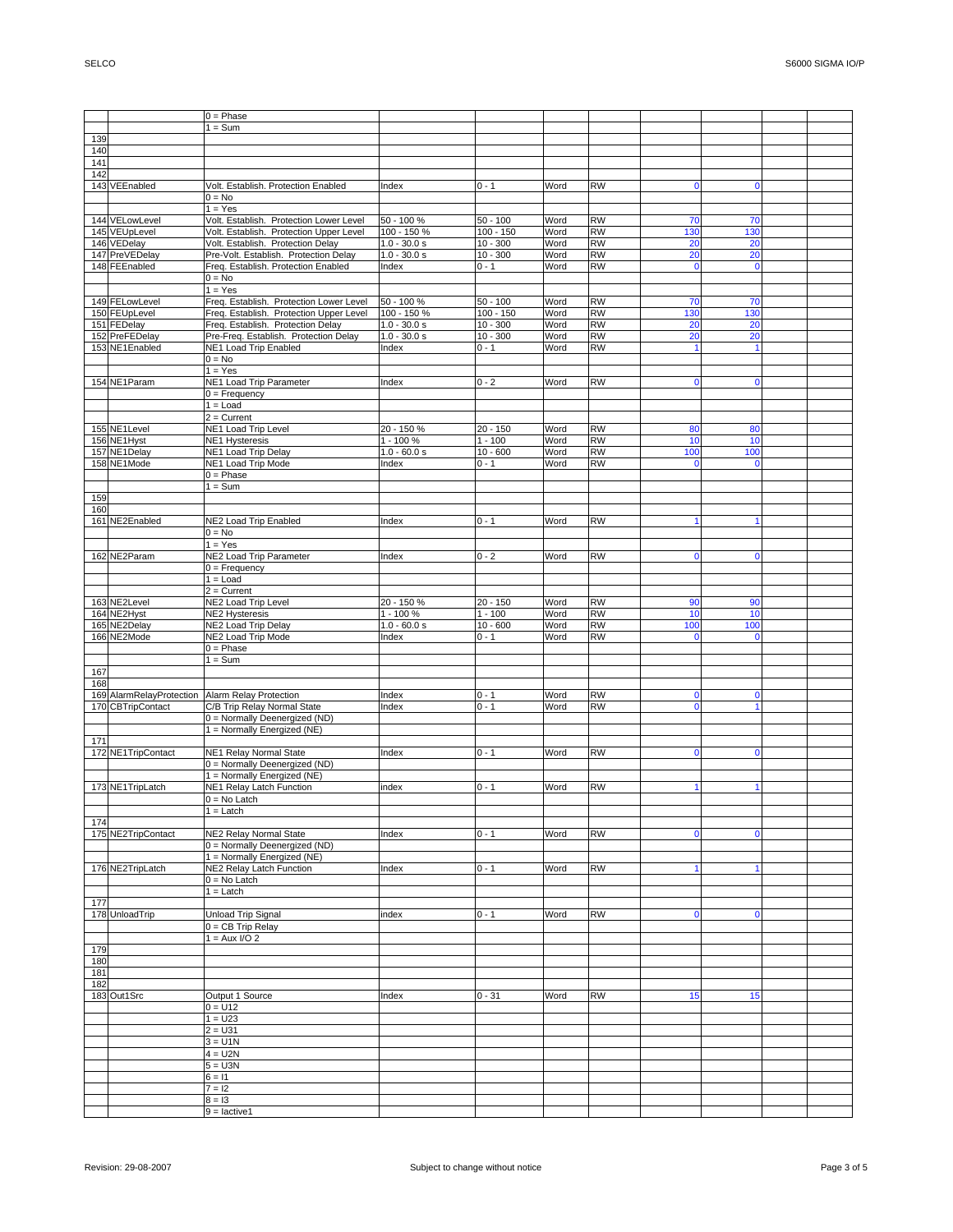|     |                          | $0 = Phase$                             |                |             |      |                 |              |                |  |
|-----|--------------------------|-----------------------------------------|----------------|-------------|------|-----------------|--------------|----------------|--|
|     |                          | $1 = Sum$                               |                |             |      |                 |              |                |  |
| 139 |                          |                                         |                |             |      |                 |              |                |  |
| 140 |                          |                                         |                |             |      |                 |              |                |  |
| 141 |                          |                                         |                |             |      |                 |              |                |  |
| 142 |                          |                                         |                |             |      |                 |              |                |  |
|     | 143 VEEnabled            | Volt. Establish. Protection Enabled     | Index          | $0 - 1$     | Word | <b>RW</b>       | $\mathbf 0$  | 0              |  |
|     |                          | $0 = No$                                |                |             |      |                 |              |                |  |
|     |                          | $1 = Yes$                               |                |             |      |                 |              |                |  |
|     | 144 VELowLevel           | Volt. Establish. Protection Lower Level | 50 - 100 %     | $50 - 100$  | Word | <b>RW</b>       | 70           | 70             |  |
|     | 145 VEUpLevel            | Volt. Establish. Protection Upper Level | 100 - 150 %    | $100 - 150$ | Word | <b>RW</b>       | 130          | 130            |  |
|     | 146 VEDelay              | Volt. Establish. Protection Delay       | $1.0 - 30.0 s$ | $10 - 300$  | Word | <b>RW</b>       | 20           | 20             |  |
|     | 147 PreVEDelay           | Pre-Volt. Establish. Protection Delay   | $1.0 - 30.0 s$ | $10 - 300$  | Word | <b>RW</b>       | 20           | 20             |  |
|     | 148 FEEnabled            | Freq. Establish. Protection Enabled     | Index          | 0 - 1       | Word | <b>RW</b>       | $\mathbf 0$  | $\overline{0}$ |  |
|     |                          | $0 = No$                                |                |             |      |                 |              |                |  |
|     |                          | $1 = Yes$                               |                |             |      |                 |              |                |  |
|     | 149 FELowLevel           | Freq. Establish. Protection Lower Level | 50 - 100 %     | $50 - 100$  | Word | <b>RW</b>       | 70           | 70             |  |
|     | 150 FEUpLevel            | Freq. Establish. Protection Upper Level | 100 - 150 %    | $100 - 150$ | Word | <b>RW</b>       | 130          | 130            |  |
|     | 151 FEDelay              | Freq. Establish. Protection Delay       | $1.0 - 30.0 s$ | $10 - 300$  | Word | <b>RW</b>       | 20           | 20             |  |
|     | 152 PreFEDelay           | Pre-Freq. Establish. Protection Delay   | $1.0 - 30.0 s$ | $10 - 300$  | Word | <b>RW</b>       | 20           | 20             |  |
|     | 153 NE1Enabled           | NE1 Load Trip Enabled                   | Index          | 0 - 1       | Word | <b>RW</b>       |              |                |  |
|     |                          | $0 = No$                                |                |             |      |                 |              |                |  |
|     |                          | $1 = Yes$                               |                |             |      |                 |              |                |  |
|     | 154 NE1Param             | <b>NE1 Load Trip Parameter</b>          | Index          | $0 - 2$     | Word | <b>RW</b>       | $\mathbf 0$  | 0              |  |
|     |                          | $0 =$ Frequency                         |                |             |      |                 |              |                |  |
|     |                          | $1 =$ Load                              |                |             |      |                 |              |                |  |
|     |                          | $2 =$ Current                           |                |             |      |                 |              |                |  |
|     | 155 NE1Level             | NE1 Load Trip Level                     | 20 - 150 %     | 20 - 150    | Word | <b>RW</b>       | 80           | 80             |  |
|     | 156 NE1Hyst              | <b>NE1 Hysteresis</b>                   | 1 - 100 %      | $1 - 100$   | Word | <b>RW</b>       | 10           | 10             |  |
|     | 157 NE1Delay             | <b>NE1 Load Trip Delay</b>              | $1.0 - 60.0 s$ | $10 - 600$  | Word | <b>RW</b>       | 100          | 100            |  |
|     | 158 NE1Mode              | <b>NE1 Load Trip Mode</b>               | Index          | $0 - 1$     | Word | $\overline{RW}$ | $\mathbf 0$  | $\mathbf 0$    |  |
|     |                          | $0 = Phase$                             |                |             |      |                 |              |                |  |
|     |                          | $1 = Sum$                               |                |             |      |                 |              |                |  |
| 159 |                          |                                         |                |             |      |                 |              |                |  |
| 160 |                          |                                         |                |             |      |                 |              |                |  |
|     | 161 NE2Enabled           | <b>NE2 Load Trip Enabled</b>            | Index          | $0 - 1$     | Word | <b>RW</b>       |              |                |  |
|     |                          | $0 = No$                                |                |             |      |                 |              |                |  |
|     |                          | $1 = Yes$                               |                |             |      |                 |              |                |  |
|     | 162 NE2Param             | <b>NE2 Load Trip Parameter</b>          | Index          | $0 - 2$     | Word | <b>RW</b>       | $\mathbf 0$  |                |  |
|     |                          | $0 =$ Frequency                         |                |             |      |                 |              |                |  |
|     |                          | $1 =$ Load                              |                |             |      |                 |              |                |  |
|     |                          | $2 =$ Current                           |                |             |      |                 |              |                |  |
|     | 163 NE2Level             | NE2 Load Trip Level                     | 20 - 150 %     | 20 - 150    | Word | <b>RW</b>       | 90           | 90             |  |
|     | 164 NE2Hyst              | <b>NE2 Hysteresis</b>                   | $1 - 100 %$    | $1 - 100$   | Word | <b>RW</b>       | 10           | 10             |  |
|     | 165 NE2Delay             | <b>NE2 Load Trip Delay</b>              | $1.0 - 60.0 s$ | $10 - 600$  | Word | <b>RW</b>       | 100          | 100            |  |
|     | 166 NE2Mode              | NE2 Load Trip Mode                      | Index          | $0 - 1$     | Word | <b>RW</b>       | $\mathbf 0$  | $\mathbf 0$    |  |
|     |                          | $0 = Phase$                             |                |             |      |                 |              |                |  |
|     |                          | $1 = Sum$                               |                |             |      |                 |              |                |  |
| 167 |                          |                                         |                |             |      |                 |              |                |  |
| 168 |                          |                                         |                |             |      |                 |              |                |  |
|     | 169 AlarmRelayProtection | Alarm Relay Protection                  | Index          | $0 - 1$     | Word | <b>RW</b>       | $\mathbf 0$  | 0              |  |
|     | 170 CBTripContact        | C/B Trip Relay Normal State             | Index          | $0 - 1$     | Word | <b>RW</b>       | $\mathbf{0}$ |                |  |
|     |                          | 0 = Normally Deenergized (ND)           |                |             |      |                 |              |                |  |
|     |                          | 1 = Normally Energized (NE)             |                |             |      |                 |              |                |  |
| 171 |                          |                                         |                |             |      |                 |              |                |  |
|     | 172 NE1TripContact       | <b>NE1 Relay Normal State</b>           | Index          | $0 - 1$     | Word | RW              | $\mathbf 0$  | 0              |  |
|     |                          | 0 = Normally Deenergized (ND)           |                |             |      |                 |              |                |  |
|     |                          | 1 = Normally Energized (NE)             |                |             |      |                 |              |                |  |
|     | 173 NE1TripLatch         | <b>NE1 Relay Latch Function</b>         | index          | $0 - 1$     | Word | <b>RW</b>       |              |                |  |
|     |                          | $0 = No$ Latch                          |                |             |      |                 |              |                |  |
|     |                          | $1 =$ Latch                             |                |             |      |                 |              |                |  |
| 174 |                          |                                         |                |             |      |                 |              |                |  |
|     | 175 NE2TripContact       | NE2 Relay Normal State                  | Index          | $0 - 1$     | Word | <b>RW</b>       | $\mathbf 0$  | n              |  |
|     |                          | 0 = Normally Deenergized (ND)           |                |             |      |                 |              |                |  |
|     |                          | 1 = Normally Energized (NE)             |                |             |      |                 |              |                |  |
|     | 176 NE2TripLatch         | NE2 Relay Latch Function                | Index          | $0 - 1$     | Word | <b>RW</b>       |              |                |  |
|     |                          | $0 = No$ Latch                          |                |             |      |                 |              |                |  |
|     |                          | $1 =$ Latch                             |                |             |      |                 |              |                |  |
| 177 |                          |                                         |                |             |      |                 |              |                |  |
|     | 178 UnloadTrip           | Unload Trip Signal                      | index          | $0 - 1$     | Word | <b>RW</b>       | $\mathbf 0$  | $\mathbf 0$    |  |
|     |                          | 0 = CB Trip Relay                       |                |             |      |                 |              |                |  |
|     |                          | $1 = Aux I/O 2$                         |                |             |      |                 |              |                |  |
| 179 |                          |                                         |                |             |      |                 |              |                |  |
| 180 |                          |                                         |                |             |      |                 |              |                |  |
| 181 |                          |                                         |                |             |      |                 |              |                |  |
| 182 |                          |                                         |                |             |      |                 |              |                |  |
|     | 183 Out1Src              | Output 1 Source                         | Index          | $0 - 31$    | Word | <b>RW</b>       | 15           | 15             |  |
|     |                          | $0 = U12$                               |                |             |      |                 |              |                |  |
|     |                          | $1 = U23$                               |                |             |      |                 |              |                |  |
|     |                          | $2 = U31$                               |                |             |      |                 |              |                |  |
|     |                          | $3 = U1N$                               |                |             |      |                 |              |                |  |
|     |                          | $4 = U2N$                               |                |             |      |                 |              |                |  |
|     |                          | $5 = U3N$                               |                |             |      |                 |              |                |  |
|     |                          | $6 = 11$                                |                |             |      |                 |              |                |  |
|     |                          |                                         |                |             |      |                 |              |                |  |
|     |                          | $7 = 12$                                |                |             |      |                 |              |                |  |
|     |                          | $8 = 13$<br>$9 =$ lactive1              |                |             |      |                 |              |                |  |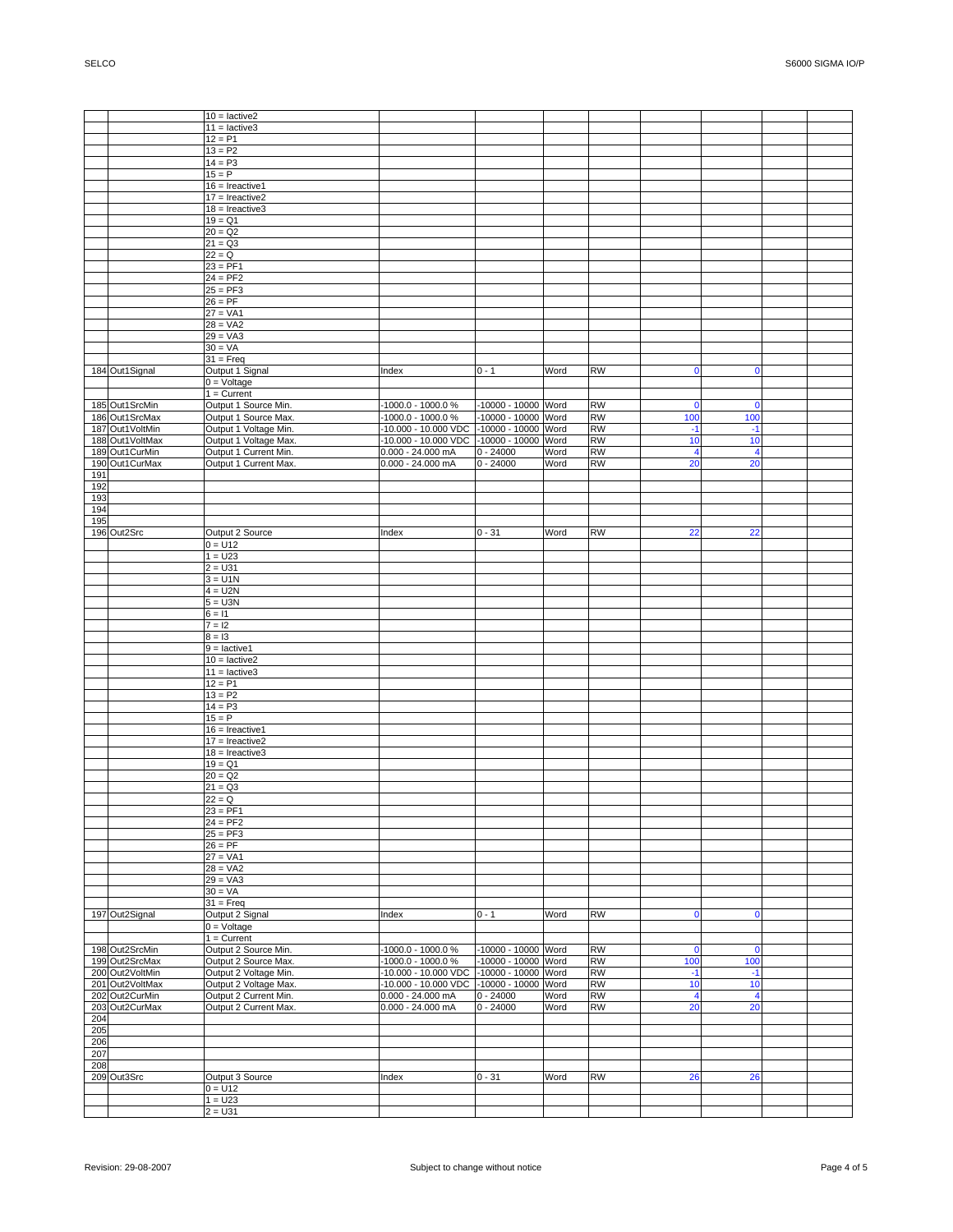|     |                 | $10 =$ lactive2       |                                          |                     |      |           |                |                |  |
|-----|-----------------|-----------------------|------------------------------------------|---------------------|------|-----------|----------------|----------------|--|
|     |                 | $11 =$ lactive3       |                                          |                     |      |           |                |                |  |
|     |                 | $12 = P1$             |                                          |                     |      |           |                |                |  |
|     |                 | $13 = P2$             |                                          |                     |      |           |                |                |  |
|     |                 | $14 = P3$             |                                          |                     |      |           |                |                |  |
|     |                 | $15 = P$              |                                          |                     |      |           |                |                |  |
|     |                 | $16 =$ Ireactive1     |                                          |                     |      |           |                |                |  |
|     |                 | $17 =$ Ireactive2     |                                          |                     |      |           |                |                |  |
|     |                 | $18 =$ Ireactive3     |                                          |                     |      |           |                |                |  |
|     |                 | $19 = Q1$             |                                          |                     |      |           |                |                |  |
|     |                 | $20 = Q2$             |                                          |                     |      |           |                |                |  |
|     |                 | $21 = Q3$             |                                          |                     |      |           |                |                |  |
|     |                 |                       |                                          |                     |      |           |                |                |  |
|     |                 | $22 = Q$              |                                          |                     |      |           |                |                |  |
|     |                 | $23 = PF1$            |                                          |                     |      |           |                |                |  |
|     |                 | $24 = PF2$            |                                          |                     |      |           |                |                |  |
|     |                 | $25 = PF3$            |                                          |                     |      |           |                |                |  |
|     |                 | $26 = PF$             |                                          |                     |      |           |                |                |  |
|     |                 | $27 = VA1$            |                                          |                     |      |           |                |                |  |
|     |                 | $28 = VA2$            |                                          |                     |      |           |                |                |  |
|     |                 | $29 = VA3$            |                                          |                     |      |           |                |                |  |
|     |                 | $30 = VA$             |                                          |                     |      |           |                |                |  |
|     |                 | $31 =$ Freq           |                                          |                     |      |           |                |                |  |
|     | 184 Out1Signal  | Output 1 Signal       | Index                                    | $0 - 1$             | Word | <b>RW</b> | $\mathbf 0$    | $\mathbf 0$    |  |
|     |                 | $0 =$ Voltage         |                                          |                     |      |           |                |                |  |
|     |                 | $1 =$ Current         |                                          |                     |      |           |                |                |  |
|     | 185 Out1SrcMin  | Output 1 Source Min.  | -1000.0 - 1000.0 %                       | -10000 - 10000 Word |      | <b>RW</b> | $\mathbf{0}$   | $\mathbf 0$    |  |
|     | 186 Out1SrcMax  | Output 1 Source Max.  | $-1000.0 - 1000.0 %$                     | -10000 - 10000 Word |      | <b>RW</b> | 100            | 100            |  |
|     | 187 Out1VoltMin | Output 1 Voltage Min. | -10.000 - 10.000 VDC -10000 - 10000 Word |                     |      | <b>RW</b> | $-1$           | $-1$           |  |
|     | 188 Out1VoltMax | Output 1 Voltage Max. | 10.000 - 10.000 VDC                      | -10000 - 10000 Word |      | <b>RW</b> | 10             | 10             |  |
|     | 189 Out1CurMin  | Output 1 Current Min. | $0.000 - 24.000$ mA                      | $0 - 24000$         | Word | <b>RW</b> | $\overline{4}$ | $\overline{4}$ |  |
|     | 190 Out1CurMax  | Output 1 Current Max. | $0.000 - 24.000$ mA                      | $0 - 24000$         |      | <b>RW</b> | 20             | 20             |  |
|     |                 |                       |                                          |                     | Word |           |                |                |  |
| 191 |                 |                       |                                          |                     |      |           |                |                |  |
| 192 |                 |                       |                                          |                     |      |           |                |                |  |
| 193 |                 |                       |                                          |                     |      |           |                |                |  |
| 194 |                 |                       |                                          |                     |      |           |                |                |  |
| 195 |                 |                       |                                          |                     |      |           |                |                |  |
|     | 196 Out2Src     | Output 2 Source       | Index                                    | $0 - 31$            | Word | <b>RW</b> | 22             | 22             |  |
|     |                 | $0 = U12$             |                                          |                     |      |           |                |                |  |
|     |                 | $1 = U23$             |                                          |                     |      |           |                |                |  |
|     |                 | $2 = U31$             |                                          |                     |      |           |                |                |  |
|     |                 | $3 = U1N$             |                                          |                     |      |           |                |                |  |
|     |                 | $4 = U2N$             |                                          |                     |      |           |                |                |  |
|     |                 | $5 = U3N$             |                                          |                     |      |           |                |                |  |
|     |                 | $6 = 11$              |                                          |                     |      |           |                |                |  |
|     |                 | $7 = 12$              |                                          |                     |      |           |                |                |  |
|     |                 | $8 = 13$              |                                          |                     |      |           |                |                |  |
|     |                 | $9 =$ lactive1        |                                          |                     |      |           |                |                |  |
|     |                 | $10 =$ lactive2       |                                          |                     |      |           |                |                |  |
|     |                 | $11 =$ lactive3       |                                          |                     |      |           |                |                |  |
|     |                 | $12 = P1$             |                                          |                     |      |           |                |                |  |
|     |                 | $13 = P2$             |                                          |                     |      |           |                |                |  |
|     |                 | $14 = P3$             |                                          |                     |      |           |                |                |  |
|     |                 |                       |                                          |                     |      |           |                |                |  |
|     |                 | $15 = P$              |                                          |                     |      |           |                |                |  |
|     |                 | $16 =$ Ireactive1     |                                          |                     |      |           |                |                |  |
|     |                 | $17 =$ Ireactive2     |                                          |                     |      |           |                |                |  |
|     |                 | $18 =$ Ireactive3     |                                          |                     |      |           |                |                |  |
|     |                 | $19 = Q1$             |                                          |                     |      |           |                |                |  |
|     |                 | $20 = Q2$             |                                          |                     |      |           |                |                |  |
|     |                 | $21 = Q3$             |                                          |                     |      |           |                |                |  |
|     |                 | $22 = Q$              |                                          |                     |      |           |                |                |  |
|     |                 | $23 = PF1$            |                                          |                     |      |           |                |                |  |
|     |                 | $24 = PF2$            |                                          |                     |      |           |                |                |  |
|     |                 | $25 = PF3$            |                                          |                     |      |           |                |                |  |
|     |                 | $26 = PF$             |                                          |                     |      |           |                |                |  |
|     |                 | $27 = VA1$            |                                          |                     |      |           |                |                |  |
|     |                 | $28 = VA2$            |                                          |                     |      |           |                |                |  |
|     |                 | $29 = VA3$            |                                          |                     |      |           |                |                |  |
|     |                 | $30 = VA$             |                                          |                     |      |           |                |                |  |
|     |                 | $31 =$ Freq           |                                          |                     |      |           |                |                |  |
|     | 197 Out2Signal  | Output 2 Signal       | Index                                    | $0 - 1$             | Word | <b>RW</b> | $\mathbf 0$    | $\mathbf 0$    |  |
|     |                 | $0 =$ Voltage         |                                          |                     |      |           |                |                |  |
|     |                 | $1 =$ Current         |                                          |                     |      |           |                |                |  |
|     | 198 Out2SrcMin  | Output 2 Source Min.  | -1000.0 - 1000.0 %                       | -10000 - 10000 Word |      | <b>RW</b> | $\mathbf 0$    | $\mathbf{0}$   |  |
|     | 199 Out2SrcMax  | Output 2 Source Max.  | -1000.0 - 1000.0 %                       | -10000 - 10000 Word |      | <b>RW</b> | 100            | 100            |  |
|     | 200 Out2VoltMin |                       |                                          |                     |      | <b>RW</b> |                |                |  |
|     |                 | Output 2 Voltage Min. | -10.000 - 10.000 VDC                     | -10000 - 10000 Word |      |           | $-1$           | $-1$           |  |
|     | 201 Out2VoltMax | Output 2 Voltage Max. | -10.000 - 10.000 VDC                     | -10000 - 10000 Word |      | <b>RW</b> | 10             | 10             |  |
|     | 202 Out2CurMin  | Output 2 Current Min. | $0.000 - 24.000$ mA                      | $0 - 24000$         | Word | RW        | $\overline{4}$ | $\overline{4}$ |  |
|     | 203 Out2CurMax  | Output 2 Current Max. | $0.000 - 24.000$ mA                      | $0 - 24000$         | Word | RW        | 20             | 20             |  |
| 204 |                 |                       |                                          |                     |      |           |                |                |  |
| 205 |                 |                       |                                          |                     |      |           |                |                |  |
| 206 |                 |                       |                                          |                     |      |           |                |                |  |
| 207 |                 |                       |                                          |                     |      |           |                |                |  |
| 208 |                 |                       |                                          |                     |      |           |                |                |  |
|     | 209 Out3Src     | Output 3 Source       | Index                                    | $0 - 31$            | Word | <b>RW</b> | 26             | 26             |  |
|     |                 | $0 = U12$             |                                          |                     |      |           |                |                |  |
|     |                 | $1 = U23$             |                                          |                     |      |           |                |                |  |
|     |                 | $2 = U31$             |                                          |                     |      |           |                |                |  |
|     |                 |                       |                                          |                     |      |           |                |                |  |